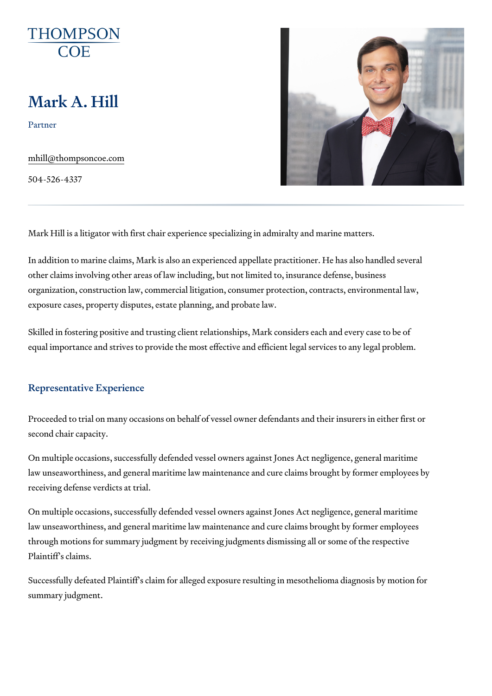# Mark A. Hill

Partner

[mhill@thompson](mailto:mhill@thompsoncoe.com)coe.com

504-526-4337

Mark Hill is a litigator with first chair experience specializing in admiralty

In addition to marine claims, Mark is also an experienced appellate practit other claims involving other areas of law including, but not limited to, insu organization, construction law, commercial litigation, consumer protection, exposure cases, property disputes, estate planning, and probate law.

Skilled in fostering positive and trusting client relationships, Mark conside equal importance and strives to provide the most effective and efficient le

#### Representative Experience

Proceeded to trial on many occasions on behalf of vessel owner defendant second chair capacity.

On multiple occasions, successfully defended vessel owners against Jones law unseaworthiness, and general maritime law maintenance and cure clain receiving defense verdicts at trial.

On multiple occasions, successfully defended vessel owners against Jones law unseaworthiness, and general maritime law maintenance and cure clain through motions for summary judgment by receiving judgments dismissing a Plaintiff s claims.

Successfully defeated Plaintiff s claim for alleged exposure resulting in m summary judgment.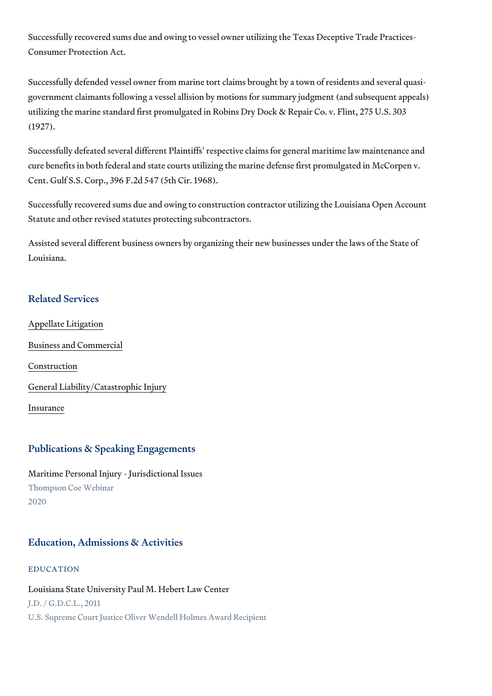Successfully recovered sums due and owing to vessel owner utilizing the T Consumer Protection Act.

Successfully defended vessel owner from marine tort claims brought by a t government claimants following a vessel allision by motions for summary ju utilizing the marine standard first promulgated in Robins Dry Dock & Repair (1927).

Successfully defeated several different Plaintiffs respective claims for ge cure benefits in both federal and state courts utilizing the marine defense Cent. Gulf S.S. Corp., 396 F.2d 547 (5th Cir. 1968).

Successfully recovered sums due and owing to construction contractor util Statute and other revised statutes protecting subcontractors.

Assisted several different business owners by organizing their new busines Louisiana.

#### Related Services

[Appellate Li](https://www.thompsoncoe.com/people/mark-a-hill/)tigation

[Business and C](https://www.thompsoncoe.com/people/mark-a-hill/)ommercial

[Constru](https://www.thompsoncoe.com/people/mark-a-hill/)ction

[General Liability/Catas](https://www.thompsoncoe.com/people/mark-a-hill/)trophic Injury

[Insura](https://www.thompsoncoe.com/people/mark-a-hill/)nce

# Publications & Speaking Engagements

Maritime Personal Injury - Jurisdictional Issues Thompson Coe Webinar 2020

### Education, Admissions & Activities

EDUCATION

Louisiana State University Paul M. Hebert Law Center J.D. / G.D.C.L., 2011 U.S. Supreme Court Justice Oliver Wendell Holmes Award Recipient